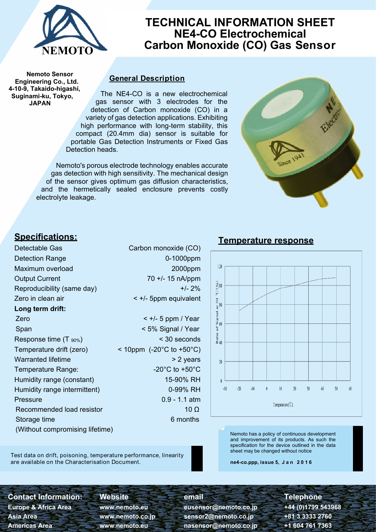

## **TECHNICAL INFORMATION SHEET NE4-CO Electrochemical Carbon Monoxide (CO) Gas Sensor**

**Nemoto Sensor Engineering Co., Ltd. 4-10-9, Takaido-higashi, Suginami-ku, Tokyo, JAPAN**

#### **General Description**

The NE4-CO is a new electrochemical gas sensor with 3 electrodes for the detection of Carbon monoxide (CO) in a variety of gas detection applications. Exhibiting high performance with long-term stability, this compact (20.4mm dia) sensor is suitable for portable Gas Detection Instruments or Fixed Gas Detection heads.

Nemoto's porous electrode technology enables accurate gas detection with high sensitivity. The mechanical design of the sensor gives optimum gas diffusion characteristics, and the hermetically sealed enclosure prevents costly electrolyte leakage.



### **Specifications:**

Detectable Gas Carbon monoxide (CO) Detection Range 0-1000ppm Maximum overload 2000ppm Output Current 70 +/- 15 nA/ppm Reproducibility (same day)  $+/- 2\%$ Zero in clean air < +/- 5ppm equivalent **Long term drift:** Zero < +/- 5 ppm / Year Span  $\le$  5% Signal / Year Response time  $(T_{.90\%})$   $\leq$  30 seconds Temperature drift (zero) < 10ppm (-20°C to +50°C) Warranted lifetime  $> 2$  years Temperature Range:  $-20^{\circ}$ C to +50 $^{\circ}$ C Humidity range (constant) 15-90% RH Humidity range intermittent) 0-99% RH Pressure 0.9 - 1.1 atm Recommended load resistor 10 Ω Storage time 6 months 6 months (Without compromising lifetime)



Nemoto has a policy of continuous development and improvement of its products. As such the specification for the device outlined in the data sheet may be changed without notice

**ne4-co.ppp, issue 5, J a n 2 0 1 6**

Test data on drift, poisoning, temperature performance, linearity are available on the Characterisation Document.

**Contact Information: Website email Telephone Europe & Africa Area www.nemoto.eu eusensor@nemoto.co.jp +44 (0)1799 543968 Asia Area www.nemoto.co.jp sensor2@nemoto.co.jp +81 3 3333 2760**

# **Americas Area www.nemoto.eu nasensor@nemoto.co.jp +1 604 761 7363**

### **Temperature response**